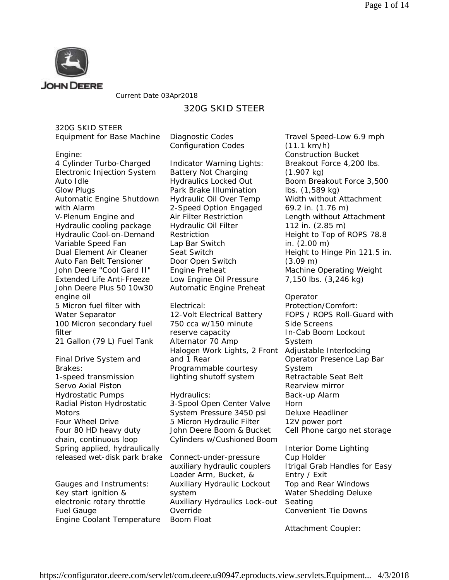

Current Date 03Apr2018

# 320G SKID STEER

320G SKID STEER

| Equipment for Base Machine |  |  |
|----------------------------|--|--|
|                            |  |  |

Diagnostic Codes Configuration Codes

Engine:

4 Cylinder Turbo-Charged Electronic Injection System Auto Idle Glow Plugs Automatic Engine Shutdown with Alarm V-Plenum Engine and Hydraulic cooling package Hydraulic Cool-on-Demand Variable Speed Fan Dual Element Air Cleaner Auto Fan Belt Tensioner John Deere "Cool Gard II" Extended Life Anti-Freeze John Deere Plus 50 10w30 engine oil 5 Micron fuel filter with Water Separator 100 Micron secondary fuel filter 21 Gallon (79 L) Fuel Tank

Final Drive System and Brakes: 1-speed transmission Servo Axial Piston Hydrostatic Pumps Radial Piston Hydrostatic **Motors** Four Wheel Drive Four 80 HD heavy duty chain, continuous loop Spring applied, hydraulically released wet-disk park brake

Gauges and Instruments: Key start ignition & electronic rotary throttle Fuel Gauge Engine Coolant Temperature

Indicator Warning Lights: Battery Not Charging Hydraulics Locked Out Park Brake Illumination Hydraulic Oil Over Temp 2-Speed Option Engaged Air Filter Restriction Hydraulic Oil Filter Restriction Lap Bar Switch Seat Switch Door Open Switch Engine Preheat Low Engine Oil Pressure Automatic Engine Preheat

Electrical: 12-Volt Electrical Battery 750 cca w/150 minute reserve capacity Alternator 70 Amp Halogen Work Lights, 2 Front and 1 Rear Programmable courtesy lighting shutoff system

Hydraulics: 3-Spool Open Center Valve System Pressure 3450 psi 5 Micron Hydraulic Filter John Deere Boom & Bucket Cylinders w/Cushioned Boom

Connect-under-pressure auxiliary hydraulic couplers Loader Arm, Bucket, & Auxiliary Hydraulic Lockout system Auxiliary Hydraulics Lock-out Override Boom Float

Travel Speed-Low 6.9 mph (11.1 km/h) Construction Bucket Breakout Force 4,200 lbs. (1.907 kg) Boom Breakout Force 3,500 lbs. (1,589 kg) Width without Attachment 69.2 in. (1.76 m) Length without Attachment 112 in. (2.85 m) Height to Top of ROPS 78.8 in. (2.00 m) Height to Hinge Pin 121.5 in. (3.09 m) Machine Operating Weight 7,150 lbs. (3,246 kg)

Operator Protection/Comfort: FOPS / ROPS Roll-Guard with Side Screens In-Cab Boom Lockout System Adjustable Interlocking Operator Presence Lap Bar System Retractable Seat Belt Rearview mirror Back-up Alarm Horn Deluxe Headliner 12V power port Cell Phone cargo net storage

Interior Dome Lighting Cup Holder Itrigal Grab Handles for Easy Entry / Exit Top and Rear Windows Water Shedding Deluxe Seating Convenient Tie Downs

Attachment Coupler: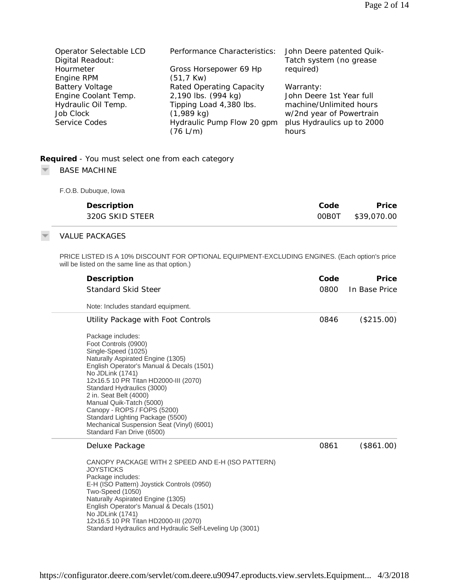| Operator Selectable LCD | Performance Characteristics: | John Deere patented Quik-  |
|-------------------------|------------------------------|----------------------------|
| Digital Readout:        |                              | Tatch system (no grease    |
| Hourmeter               | Gross Horsepower 69 Hp       | required)                  |
| Engine RPM              | $(51, 7$ Kw)                 |                            |
| <b>Battery Voltage</b>  | Rated Operating Capacity     | Warranty:                  |
| Engine Coolant Temp.    | 2,190 lbs. (994 kg)          | John Deere 1st Year full   |
| Hydraulic Oil Temp.     | Tipping Load 4,380 lbs.      | machine/Unlimited hours    |
| Job Clock               | $(1,989$ kg)                 | w/2nd year of Powertrain   |
| Service Codes           | Hydraulic Pump Flow 20 gpm   | plus Hydraulics up to 2000 |
|                         | (76 L/m)                     | hours                      |

# **Required** *- You must select one from each category*

#### $\overline{\psi}$ BASE MACHINE

F.O.B. Dubuque, Iowa

| Description     | Code | Price             |
|-----------------|------|-------------------|
| 320G SKID STEER |      | 00B0T \$39,070.00 |

## VALUE PACKAGES

PRICE LISTED IS A 10% DISCOUNT FOR OPTIONAL EQUIPMENT-EXCLUDING ENGINES. (Each option's price will be listed on the same line as that option.)

| Description                                                                                                                                                                                                                                                                                                                                                                                                                                      | Code | Price         |
|--------------------------------------------------------------------------------------------------------------------------------------------------------------------------------------------------------------------------------------------------------------------------------------------------------------------------------------------------------------------------------------------------------------------------------------------------|------|---------------|
| <b>Standard Skid Steer</b>                                                                                                                                                                                                                                                                                                                                                                                                                       | 0800 | In Base Price |
| Note: Includes standard equipment.                                                                                                                                                                                                                                                                                                                                                                                                               |      |               |
| Utility Package with Foot Controls                                                                                                                                                                                                                                                                                                                                                                                                               | 0846 | (\$215.00)    |
| Package includes:<br>Foot Controls (0900)<br>Single-Speed (1025)<br>Naturally Aspirated Engine (1305)<br>English Operator's Manual & Decals (1501)<br>No JDLink (1741)<br>12x16.5 10 PR Titan HD2000-III (2070)<br>Standard Hydraulics (3000)<br>2 in. Seat Belt (4000)<br>Manual Quik-Tatch (5000)<br>Canopy - ROPS / FOPS (5200)<br>Standard Lighting Package (5500)<br>Mechanical Suspension Seat (Vinyl) (6001)<br>Standard Fan Drive (6500) |      |               |
| Deluxe Package                                                                                                                                                                                                                                                                                                                                                                                                                                   | 0861 | (\$861.00)    |
| CANOPY PACKAGE WITH 2 SPEED AND E-H (ISO PATTERN)<br><b>JOYSTICKS</b><br>Package includes:<br>E-H (ISO Pattern) Joystick Controls (0950)<br>Two-Speed (1050)<br>Naturally Aspirated Engine (1305)<br>English Operator's Manual & Decals (1501)<br>No JDLink (1741)<br>12x16.5 10 PR Titan HD2000-III (2070)<br>Standard Hydraulics and Hydraulic Self-Leveling Up (3001)                                                                         |      |               |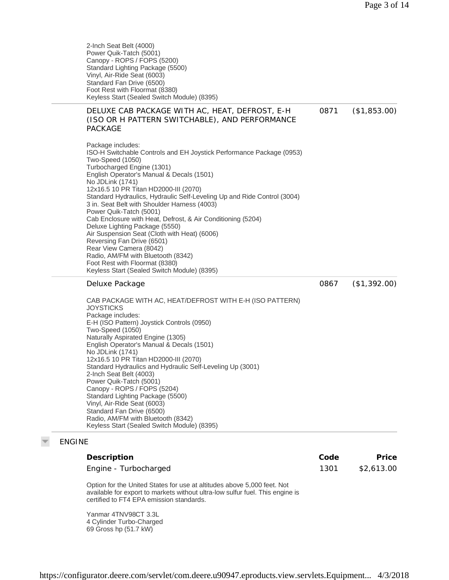0867 (\$1,392.00)

2-Inch Seat Belt (4000) Power Quik-Tatch (5001) Canopy - ROPS / FOPS (5200) Standard Lighting Package (5500) Vinyl, Air-Ride Seat (6003) Standard Fan Drive (6500) Foot Rest with Floormat (8380) Keyless Start (Sealed Switch Module) (8395)

### DELUXE CAB PACKAGE WITH AC, HEAT, DEFROST, E-H (ISO OR H PATTERN SWITCHABLE), AND PERFORMANCE PACKAGE 0871 (\$1,853.00)

Package includes: ISO-H Switchable Controls and EH Joystick Performance Package (0953) Two-Speed (1050) Turbocharged Engine (1301) English Operator's Manual & Decals (1501) No JDLink (1741) 12x16.5 10 PR Titan HD2000-III (2070) Standard Hydraulics, Hydraulic Self-Leveling Up and Ride Control (3004) 3 in. Seat Belt with Shoulder Harness (4003) Power Quik-Tatch (5001) Cab Enclosure with Heat, Defrost, & Air Conditioning (5204) Deluxe Lighting Package (5550) Air Suspension Seat (Cloth with Heat) (6006) Reversing Fan Drive (6501) Rear View Camera (8042) Radio, AM/FM with Bluetooth (8342) Foot Rest with Floormat (8380) Keyless Start (Sealed Switch Module) (8395)

### Deluxe Package

CAB PACKAGE WITH AC, HEAT/DEFROST WITH E-H (ISO PATTERN) **JOYSTICKS** Package includes: E-H (ISO Pattern) Joystick Controls (0950) Two-Speed (1050) Naturally Aspirated Engine (1305) English Operator's Manual & Decals (1501) No JDLink (1741) 12x16.5 10 PR Titan HD2000-III (2070) Standard Hydraulics and Hydraulic Self-Leveling Up (3001) 2-Inch Seat Belt (4003) Power Quik-Tatch (5001) Canopy - ROPS / FOPS (5204) Standard Lighting Package (5500) Vinyl, Air-Ride Seat (6003) Standard Fan Drive (6500) Radio, AM/FM with Bluetooth (8342) Keyless Start (Sealed Switch Module) (8395)

## ENGINE

| Description                                                                                                                                      | Code | <b>Price</b> |
|--------------------------------------------------------------------------------------------------------------------------------------------------|------|--------------|
| Engine - Turbocharged                                                                                                                            | 1301 | \$2,613.00   |
| $\bigcap_{x \in U} a_n$ for the Higher Hotels from the straightfunder of any $F$ $\bigcap \bigcap_{x \in U} f_{x}$ and $\bigcap_{x \in U} f_{x}$ |      |              |

Option for the United States for use at altitudes above 5,000 feet. Not available for export to markets without ultra-low sulfur fuel. This engine is certified to FT4 EPA emission standards.

Yanmar 4TNV98CT 3.3L 4 Cylinder Turbo-Charged 69 Gross hp (51.7 kW)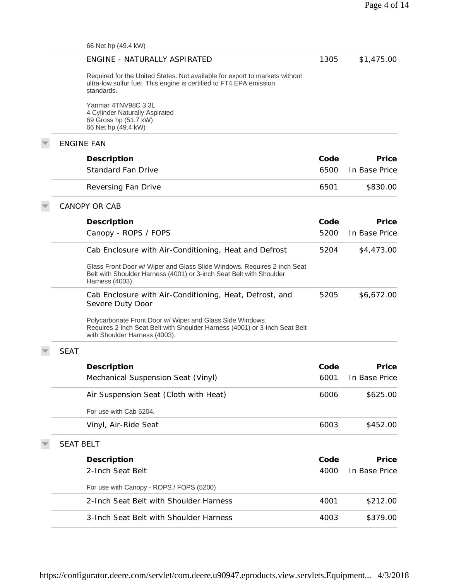| 66 Net hp (49.4 kW)                                                                                                                                                      |      |               |
|--------------------------------------------------------------------------------------------------------------------------------------------------------------------------|------|---------------|
| ENGINE - NATURALLY ASPIRATED                                                                                                                                             | 1305 | \$1,475.00    |
| Required for the United States. Not available for export to markets without<br>ultra-low sulfur fuel. This engine is certified to FT4 EPA emission<br>standards.         |      |               |
| Yanmar 4TNV98C 3.3L<br>4 Cylinder Naturally Aspirated<br>69 Gross hp (51.7 kW)<br>66 Net hp (49.4 kW)                                                                    |      |               |
| <b>ENGINE FAN</b>                                                                                                                                                        |      |               |
| Description                                                                                                                                                              | Code | Price         |
| <b>Standard Fan Drive</b>                                                                                                                                                | 6500 | In Base Price |
| Reversing Fan Drive                                                                                                                                                      | 6501 | \$830.00      |
| <b>CANOPY OR CAB</b>                                                                                                                                                     |      |               |
| Description                                                                                                                                                              | Code | Price         |
| Canopy - ROPS / FOPS                                                                                                                                                     | 5200 | In Base Price |
| Cab Enclosure with Air-Conditioning, Heat and Defrost                                                                                                                    | 5204 | \$4,473.00    |
| Glass Front Door w/ Wiper and Glass Slide Windows. Requires 2-inch Seat<br>Belt with Shoulder Harness (4001) or 3-inch Seat Belt with Shoulder<br>Harness (4003).        |      |               |
| Cab Enclosure with Air-Conditioning, Heat, Defrost, and<br>Severe Duty Door                                                                                              | 5205 | \$6,672.00    |
| Polycarbonate Front Door w/ Wiper and Glass Side Windows.<br>Requires 2-inch Seat Belt with Shoulder Harness (4001) or 3-inch Seat Belt<br>with Shoulder Harness (4003). |      |               |
| <b>SEAT</b>                                                                                                                                                              |      |               |
| Description                                                                                                                                                              | Code | Price         |
| Mechanical Suspension Seat (Vinyl)                                                                                                                                       | 6001 | In Base Price |
| Air Suspension Seat (Cloth with Heat)                                                                                                                                    | 6006 | \$625.00      |
| For use with Cab 5204.                                                                                                                                                   |      |               |
| Vinyl, Air-Ride Seat                                                                                                                                                     | 6003 | \$452.00      |
| <b>SEAT BELT</b>                                                                                                                                                         |      |               |
| Description                                                                                                                                                              | Code | Price         |
| 2-Inch Seat Belt                                                                                                                                                         | 4000 | In Base Price |
| For use with Canopy - ROPS / FOPS (5200)                                                                                                                                 |      |               |
| 2-Inch Seat Belt with Shoulder Harness                                                                                                                                   | 4001 | \$212.00      |
| 3-Inch Seat Belt with Shoulder Harness                                                                                                                                   | 4003 | \$379.00      |
|                                                                                                                                                                          |      |               |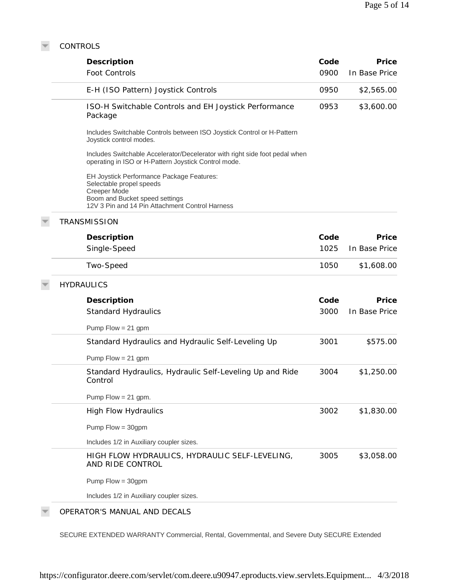CONTROLS

 $\overline{\nabla}$ 

| Description                                                                                                                                                                | Code | Price         |
|----------------------------------------------------------------------------------------------------------------------------------------------------------------------------|------|---------------|
| Foot Controls                                                                                                                                                              | 0900 | In Base Price |
| E-H (ISO Pattern) Joystick Controls                                                                                                                                        | 0950 | \$2,565.00    |
| ISO-H Switchable Controls and EH Joystick Performance<br>Package                                                                                                           | 0953 | \$3,600.00    |
| Includes Switchable Controls between ISO Joystick Control or H-Pattern<br>Joystick control modes.                                                                          |      |               |
| Includes Switchable Accelerator/Decelerator with right side foot pedal when<br>operating in ISO or H-Pattern Joystick Control mode.                                        |      |               |
| EH Joystick Performance Package Features:<br>Selectable propel speeds<br>Creeper Mode<br>Boom and Bucket speed settings<br>12V 3 Pin and 14 Pin Attachment Control Harness |      |               |
| <b>TRANSMISSION</b>                                                                                                                                                        |      |               |
| Description                                                                                                                                                                | Code | Price         |
| Single-Speed                                                                                                                                                               | 1025 | In Base Price |
| Two-Speed                                                                                                                                                                  | 1050 | \$1,608.00    |
| <b>HYDRAULICS</b>                                                                                                                                                          |      |               |
| Description                                                                                                                                                                | Code | Price         |
| <b>Standard Hydraulics</b>                                                                                                                                                 | 3000 | In Base Price |
| Pump $Flow = 21$ gpm                                                                                                                                                       |      |               |
| Standard Hydraulics and Hydraulic Self-Leveling Up                                                                                                                         | 3001 | \$575.00      |
| Pump $Flow = 21$ gpm                                                                                                                                                       |      |               |
| Standard Hydraulics, Hydraulic Self-Leveling Up and Ride<br>Control                                                                                                        | 3004 | \$1,250.00    |
| Pump Flow = $21$ gpm.                                                                                                                                                      |      |               |
| <b>High Flow Hydraulics</b>                                                                                                                                                | 3002 | \$1,830.00    |
| Pump $Flow = 30gpm$                                                                                                                                                        |      |               |
|                                                                                                                                                                            |      |               |
| Includes 1/2 in Auxiliary coupler sizes.                                                                                                                                   |      |               |
| HIGH FLOW HYDRAULICS, HYDRAULIC SELF-LEVELING,<br>AND RIDE CONTROL                                                                                                         | 3005 |               |
| Pump $Flow = 30gpm$                                                                                                                                                        |      | \$3,058.00    |

## OPERATOR'S MANUAL AND DECALS

SECURE EXTENDED WARRANTY Commercial, Rental, Governmental, and Severe Duty SECURE Extended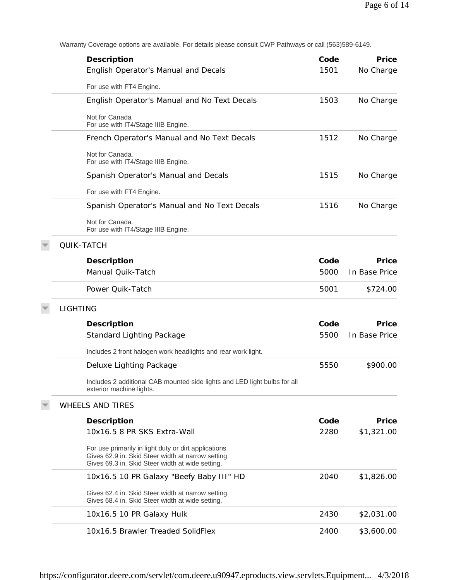Warranty Coverage options are available. For details please consult CWP Pathways or call (563)589-6149.

| Description                                                                                                                                                    | Code | Price         |
|----------------------------------------------------------------------------------------------------------------------------------------------------------------|------|---------------|
| English Operator's Manual and Decals                                                                                                                           | 1501 | No Charge     |
| For use with FT4 Engine.                                                                                                                                       |      |               |
| English Operator's Manual and No Text Decals                                                                                                                   | 1503 | No Charge     |
| Not for Canada<br>For use with IT4/Stage IIIB Engine.                                                                                                          |      |               |
| French Operator's Manual and No Text Decals                                                                                                                    | 1512 | No Charge     |
| Not for Canada.<br>For use with IT4/Stage IIIB Engine.                                                                                                         |      |               |
| Spanish Operator's Manual and Decals                                                                                                                           | 1515 | No Charge     |
| For use with FT4 Engine.                                                                                                                                       |      |               |
| Spanish Operator's Manual and No Text Decals                                                                                                                   | 1516 | No Charge     |
| Not for Canada.<br>For use with IT4/Stage IIIB Engine.                                                                                                         |      |               |
| QUIK-TATCH                                                                                                                                                     |      |               |
| Description                                                                                                                                                    | Code | Price         |
| Manual Quik-Tatch                                                                                                                                              | 5000 | In Base Price |
| Power Quik-Tatch                                                                                                                                               | 5001 | \$724.00      |
| <b>LIGHTING</b>                                                                                                                                                |      |               |
| Description                                                                                                                                                    | Code | Price         |
| Standard Lighting Package                                                                                                                                      | 5500 | In Base Price |
| Includes 2 front halogen work headlights and rear work light.                                                                                                  |      |               |
| Deluxe Lighting Package                                                                                                                                        | 5550 | \$900.00      |
| Includes 2 additional CAB mounted side lights and LED light bulbs for all<br>exterior machine lights.                                                          |      |               |
| <b>WHEELS AND TIRES</b>                                                                                                                                        |      |               |
| Description                                                                                                                                                    | Code | Price         |
| 10x16.5 8 PR SKS Extra-Wall                                                                                                                                    | 2280 | \$1,321.00    |
| For use primarily in light duty or dirt applications.<br>Gives 62.9 in. Skid Steer width at narrow setting<br>Gives 69.3 in. Skid Steer width at wide setting. |      |               |
| 10x16.5 10 PR Galaxy "Beefy Baby III" HD                                                                                                                       | 2040 | \$1,826.00    |
| Gives 62.4 in. Skid Steer width at narrow setting.<br>Gives 68.4 in. Skid Steer width at wide setting.                                                         |      |               |
| 10x16.5 10 PR Galaxy Hulk                                                                                                                                      | 2430 | \$2,031.00    |
| 10x16.5 Brawler Treaded SolidFlex                                                                                                                              | 2400 | \$3,600.00    |

https://configurator.deere.com/servlet/com.deere.u90947.eproducts.view.servlets.Equipment... 4/3/2018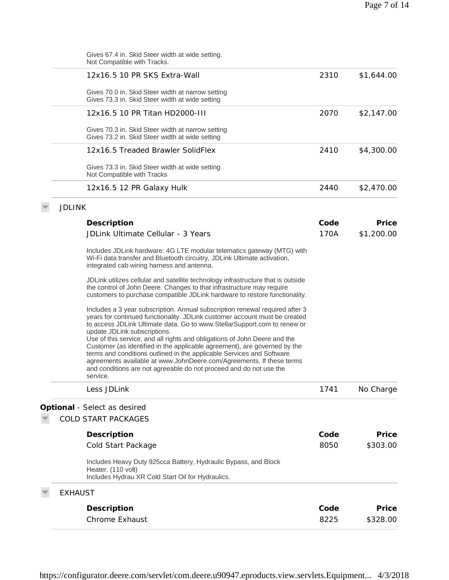|               | <b>Chrome Exhaust</b>                                                                                                                                                                                                                                                                                                                                                                                                                                                                                                                                                                                                                                               | 8225 | \$328.00   |
|---------------|---------------------------------------------------------------------------------------------------------------------------------------------------------------------------------------------------------------------------------------------------------------------------------------------------------------------------------------------------------------------------------------------------------------------------------------------------------------------------------------------------------------------------------------------------------------------------------------------------------------------------------------------------------------------|------|------------|
|               | <b>EXHAUST</b><br>Description                                                                                                                                                                                                                                                                                                                                                                                                                                                                                                                                                                                                                                       | Code | Price      |
|               | Includes Heavy Duty 925cca Battery, Hydraulic Bypass, and Block<br>Heater. (110 volt)<br>Includes Hydrau XR Cold Start Oil for Hydraulics.                                                                                                                                                                                                                                                                                                                                                                                                                                                                                                                          |      |            |
|               | Cold Start Package                                                                                                                                                                                                                                                                                                                                                                                                                                                                                                                                                                                                                                                  | 8050 | \$303.00   |
|               | Description                                                                                                                                                                                                                                                                                                                                                                                                                                                                                                                                                                                                                                                         | Code | Price      |
|               | <b>COLD START PACKAGES</b>                                                                                                                                                                                                                                                                                                                                                                                                                                                                                                                                                                                                                                          |      |            |
|               | Optional - Select as desired                                                                                                                                                                                                                                                                                                                                                                                                                                                                                                                                                                                                                                        |      |            |
|               | Less JDLink                                                                                                                                                                                                                                                                                                                                                                                                                                                                                                                                                                                                                                                         | 1741 | No Charge  |
|               | Includes a 3 year subscription. Annual subscription renewal required after 3<br>years for continued functionality. JDLink customer account must be created<br>to access JDLink Ultimate data. Go to www.StellarSupport.com to renew or<br>update JDLink subscriptions.<br>Use of this service, and all rights and obligations of John Deere and the<br>Customer (as identified in the applicable agreement), are governed by the<br>terms and conditions outlined in the applicable Services and Software<br>agreements available at www.JohnDeere.com/Agreements. If these terms<br>and conditions are not agreeable do not proceed and do not use the<br>service. |      |            |
|               | JDLink utilizes cellular and satellite technology infrastructure that is outside<br>the control of John Deere. Changes to that infrastructure may require<br>customers to purchase compatible JDLink hardware to restore functionality.                                                                                                                                                                                                                                                                                                                                                                                                                             |      |            |
|               | Includes JDLink hardware: 4G LTE modular telematics gateway (MTG) with<br>Wi-Fi data transfer and Bluetooth circuitry, JDLink Ultimate activation,<br>integrated cab wiring harness and antenna.                                                                                                                                                                                                                                                                                                                                                                                                                                                                    |      |            |
|               | JDLink Ultimate Cellular - 3 Years                                                                                                                                                                                                                                                                                                                                                                                                                                                                                                                                                                                                                                  | 170A | \$1,200.00 |
|               | Description                                                                                                                                                                                                                                                                                                                                                                                                                                                                                                                                                                                                                                                         | Code | Price      |
| <b>JDLINK</b> |                                                                                                                                                                                                                                                                                                                                                                                                                                                                                                                                                                                                                                                                     |      |            |
|               | 12x16.5 12 PR Galaxy Hulk                                                                                                                                                                                                                                                                                                                                                                                                                                                                                                                                                                                                                                           | 2440 | \$2,470.00 |
|               | Gives 73.3 in. Skid Steer width at wide setting<br>Not Compatible with Tracks                                                                                                                                                                                                                                                                                                                                                                                                                                                                                                                                                                                       |      |            |
|               | 12x16.5 Treaded Brawler SolidFlex                                                                                                                                                                                                                                                                                                                                                                                                                                                                                                                                                                                                                                   | 2410 | \$4,300.00 |
|               | Gives 70.3 in. Skid Steer width at narrow setting<br>Gives 73.2 in. Skid Steer width at wide setting                                                                                                                                                                                                                                                                                                                                                                                                                                                                                                                                                                |      |            |
|               | 12x16.5 10 PR Titan HD2000-III                                                                                                                                                                                                                                                                                                                                                                                                                                                                                                                                                                                                                                      | 2070 | \$2,147.00 |
|               | Gives 70.0 in. Skid Steer width at narrow setting<br>Gives 73.3 in. Skid Steer width at wide setting                                                                                                                                                                                                                                                                                                                                                                                                                                                                                                                                                                |      |            |
|               | 12x16.5 10 PR SKS Extra-Wall                                                                                                                                                                                                                                                                                                                                                                                                                                                                                                                                                                                                                                        | 2310 | \$1,644.00 |
|               | Gives 67.4 in. Skid Steer width at wide setting.<br>Not Compatible with Tracks.                                                                                                                                                                                                                                                                                                                                                                                                                                                                                                                                                                                     |      |            |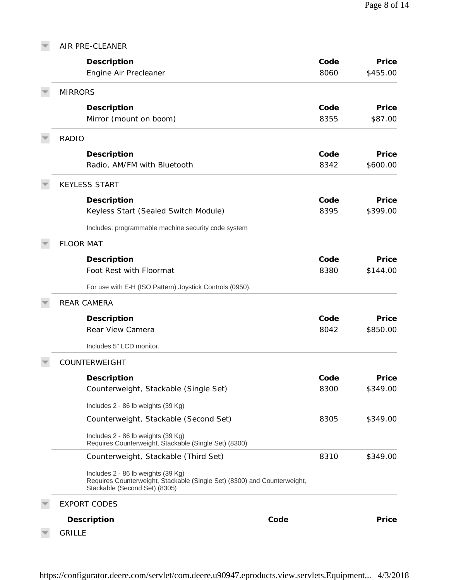| AIR PRE-CLEANER                                                                                                                                 |      |          |
|-------------------------------------------------------------------------------------------------------------------------------------------------|------|----------|
| Description                                                                                                                                     | Code | Price    |
| Engine Air Precleaner                                                                                                                           | 8060 | \$455.00 |
| <b>MIRRORS</b>                                                                                                                                  |      |          |
| Description                                                                                                                                     | Code | Price    |
| Mirror (mount on boom)                                                                                                                          | 8355 | \$87.00  |
| <b>RADIO</b>                                                                                                                                    |      |          |
| Description                                                                                                                                     | Code | Price    |
| Radio, AM/FM with Bluetooth                                                                                                                     | 8342 | \$600.00 |
| <b>KEYLESS START</b>                                                                                                                            |      |          |
| Description                                                                                                                                     | Code | Price    |
| Keyless Start (Sealed Switch Module)                                                                                                            | 8395 | \$399.00 |
| Includes: programmable machine security code system                                                                                             |      |          |
| <b>FLOOR MAT</b>                                                                                                                                |      |          |
| Description                                                                                                                                     | Code | Price    |
| Foot Rest with Floormat                                                                                                                         | 8380 | \$144.00 |
| For use with E-H (ISO Pattern) Joystick Controls (0950).                                                                                        |      |          |
| <b>REAR CAMERA</b>                                                                                                                              |      |          |
| Description                                                                                                                                     | Code | Price    |
| Rear View Camera                                                                                                                                | 8042 | \$850.00 |
| Includes 5" LCD monitor.                                                                                                                        |      |          |
| COUNTERWEIGHT                                                                                                                                   |      |          |
| Description                                                                                                                                     | Code | Price    |
| Counterweight, Stackable (Single Set)                                                                                                           | 8300 | \$349.00 |
| Includes 2 - 86 lb weights (39 Kg)                                                                                                              |      |          |
| Counterweight, Stackable (Second Set)                                                                                                           | 8305 | \$349.00 |
| Includes 2 - 86 lb weights (39 Kg)<br>Requires Counterweight, Stackable (Single Set) (8300)                                                     |      |          |
| Counterweight, Stackable (Third Set)                                                                                                            | 8310 | \$349.00 |
| Includes 2 - 86 lb weights (39 Kg)<br>Requires Counterweight, Stackable (Single Set) (8300) and Counterweight,<br>Stackable (Second Set) (8305) |      |          |
| <b>EXPORT CODES</b>                                                                                                                             |      |          |
| Description<br>Code                                                                                                                             |      | Price    |
| <b>GRILLE</b>                                                                                                                                   |      |          |

https://configurator.deere.com/servlet/com.deere.u90947.eproducts.view.servlets.Equipment... 4/3/2018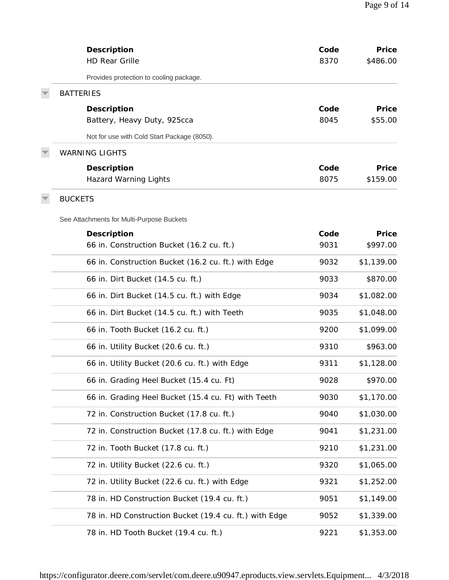| Description<br><b>HD Rear Grille</b>                   | Code<br>8370 | Price<br>\$486.00 |
|--------------------------------------------------------|--------------|-------------------|
| Provides protection to cooling package.                |              |                   |
| <b>BATTERIES</b>                                       |              |                   |
| Description                                            | Code         | Price             |
| Battery, Heavy Duty, 925cca                            | 8045         | \$55.00           |
| Not for use with Cold Start Package (8050).            |              |                   |
| <b>WARNING LIGHTS</b>                                  |              |                   |
| Description                                            | Code         | Price             |
| <b>Hazard Warning Lights</b>                           | 8075         | \$159.00          |
| <b>BUCKETS</b>                                         |              |                   |
| See Attachments for Multi-Purpose Buckets              |              |                   |
| Description                                            | Code         | Price             |
| 66 in. Construction Bucket (16.2 cu. ft.)              | 9031         | \$997.00          |
| 66 in. Construction Bucket (16.2 cu. ft.) with Edge    | 9032         | \$1,139.00        |
| 66 in. Dirt Bucket (14.5 cu. ft.)                      | 9033         | \$870.00          |
| 66 in. Dirt Bucket (14.5 cu. ft.) with Edge            | 9034         | \$1,082.00        |
| 66 in. Dirt Bucket (14.5 cu. ft.) with Teeth           | 9035         | \$1,048.00        |
| 66 in. Tooth Bucket (16.2 cu. ft.)                     | 9200         | \$1,099.00        |
| 66 in. Utility Bucket (20.6 cu. ft.)                   | 9310         | \$963.00          |
| 66 in. Utility Bucket (20.6 cu. ft.) with Edge         | 9311         | \$1,128.00        |
| 66 in. Grading Heel Bucket (15.4 cu. Ft)               | 9028         | \$970.00          |
| 66 in. Grading Heel Bucket (15.4 cu. Ft) with Teeth    | 9030         | \$1,170.00        |
| 72 in. Construction Bucket (17.8 cu. ft.)              | 9040         | \$1,030.00        |
| 72 in. Construction Bucket (17.8 cu. ft.) with Edge    | 9041         | \$1,231.00        |
| 72 in. Tooth Bucket (17.8 cu. ft.)                     | 9210         | \$1,231.00        |
| 72 in. Utility Bucket (22.6 cu. ft.)                   | 9320         | \$1,065.00        |
| 72 in. Utility Bucket (22.6 cu. ft.) with Edge         | 9321         | \$1,252.00        |
| 78 in. HD Construction Bucket (19.4 cu. ft.)           | 9051         | \$1,149.00        |
| 78 in. HD Construction Bucket (19.4 cu. ft.) with Edge | 9052         | \$1,339.00        |
| 78 in. HD Tooth Bucket (19.4 cu. ft.)                  | 9221         | \$1,353.00        |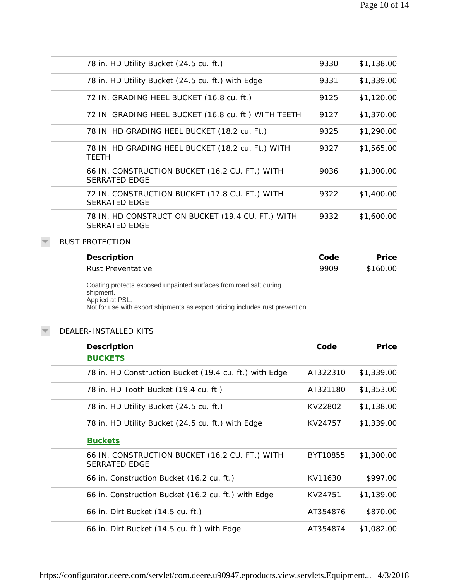| 78 in. HD Utility Bucket (24.5 cu. ft.)                                                                                                                                            | 9330     | \$1,138.00 |
|------------------------------------------------------------------------------------------------------------------------------------------------------------------------------------|----------|------------|
| 78 in. HD Utility Bucket (24.5 cu. ft.) with Edge                                                                                                                                  | 9331     | \$1,339.00 |
| 72 IN. GRADING HEEL BUCKET (16.8 cu. ft.)                                                                                                                                          | 9125     | \$1,120.00 |
| 72 IN. GRADING HEEL BUCKET (16.8 cu. ft.) WITH TEETH                                                                                                                               | 9127     | \$1,370.00 |
| 78 IN. HD GRADING HEEL BUCKET (18.2 cu. Ft.)                                                                                                                                       | 9325     | \$1,290.00 |
| 78 IN. HD GRADING HEEL BUCKET (18.2 cu. Ft.) WITH<br><b>TEETH</b>                                                                                                                  | 9327     | \$1,565.00 |
| 66 IN. CONSTRUCTION BUCKET (16.2 CU. FT.) WITH<br><b>SERRATED EDGE</b>                                                                                                             | 9036     | \$1,300.00 |
| 72 IN. CONSTRUCTION BUCKET (17.8 CU. FT.) WITH<br><b>SERRATED EDGE</b>                                                                                                             | 9322     | \$1,400.00 |
| 78 IN. HD CONSTRUCTION BUCKET (19.4 CU. FT.) WITH<br><b>SERRATED EDGE</b>                                                                                                          | 9332     | \$1,600.00 |
| <b>RUST PROTECTION</b>                                                                                                                                                             |          |            |
| Description                                                                                                                                                                        | Code     | Price      |
| <b>Rust Preventative</b>                                                                                                                                                           | 9909     | \$160.00   |
| Coating protects exposed unpainted surfaces from road salt during<br>shipment.<br>Applied at PSL.<br>Not for use with export shipments as export pricing includes rust prevention. |          |            |
| DEALER-INSTALLED KITS                                                                                                                                                              |          |            |
| Description                                                                                                                                                                        | Code     | Price      |
| <b>BUCKETS</b>                                                                                                                                                                     |          |            |
| 78 in. HD Construction Bucket (19.4 cu. ft.) with Edge                                                                                                                             | AT322310 | \$1,339.00 |
| 78 in. HD Tooth Bucket (19.4 cu. ft.)                                                                                                                                              | AT321180 | \$1,353.00 |
| 78 in. HD Utility Bucket (24.5 cu. ft.)                                                                                                                                            | KV22802  | \$1,138.00 |
| 78 in. HD Utility Bucket (24.5 cu. ft.) with Edge                                                                                                                                  | KV24757  | \$1,339.00 |
| <b>Buckets</b>                                                                                                                                                                     |          |            |
| 66 IN. CONSTRUCTION BUCKET (16.2 CU. FT.) WITH<br><b>SERRATED EDGE</b>                                                                                                             | BYT10855 | \$1,300.00 |
| 66 in. Construction Bucket (16.2 cu. ft.)                                                                                                                                          | KV11630  | \$997.00   |
| 66 in. Construction Bucket (16.2 cu. ft.) with Edge                                                                                                                                | KV24751  | \$1,139.00 |
| 66 in. Dirt Bucket (14.5 cu. ft.)                                                                                                                                                  | AT354876 | \$870.00   |
| 66 in. Dirt Bucket (14.5 cu. ft.) with Edge                                                                                                                                        | AT354874 | \$1,082.00 |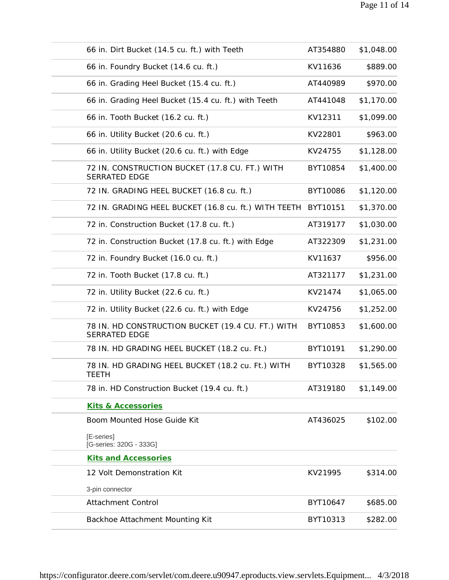| 66 in. Dirt Bucket (14.5 cu. ft.) with Teeth                              | AT354880 | \$1,048.00 |
|---------------------------------------------------------------------------|----------|------------|
| 66 in. Foundry Bucket (14.6 cu. ft.)                                      | KV11636  | \$889.00   |
| 66 in. Grading Heel Bucket (15.4 cu. ft.)                                 | AT440989 | \$970.00   |
| 66 in. Grading Heel Bucket (15.4 cu. ft.) with Teeth                      | AT441048 | \$1,170.00 |
| 66 in. Tooth Bucket (16.2 cu. ft.)                                        | KV12311  | \$1,099.00 |
| 66 in. Utility Bucket (20.6 cu. ft.)                                      | KV22801  | \$963.00   |
| 66 in. Utility Bucket (20.6 cu. ft.) with Edge                            | KV24755  | \$1,128.00 |
| 72 IN. CONSTRUCTION BUCKET (17.8 CU. FT.) WITH<br><b>SERRATED EDGE</b>    | BYT10854 | \$1,400.00 |
| 72 IN. GRADING HEEL BUCKET (16.8 cu. ft.)                                 | BYT10086 | \$1,120.00 |
| 72 IN. GRADING HEEL BUCKET (16.8 cu. ft.) WITH TEETH BYT10151             |          | \$1,370.00 |
| 72 in. Construction Bucket (17.8 cu. ft.)                                 | AT319177 | \$1,030.00 |
| 72 in. Construction Bucket (17.8 cu. ft.) with Edge                       | AT322309 | \$1,231.00 |
| 72 in. Foundry Bucket (16.0 cu. ft.)                                      | KV11637  | \$956.00   |
| 72 in. Tooth Bucket (17.8 cu. ft.)                                        | AT321177 | \$1,231.00 |
| 72 in. Utility Bucket (22.6 cu. ft.)                                      | KV21474  | \$1,065.00 |
| 72 in. Utility Bucket (22.6 cu. ft.) with Edge                            | KV24756  | \$1,252.00 |
| 78 IN. HD CONSTRUCTION BUCKET (19.4 CU. FT.) WITH<br><b>SERRATED EDGE</b> | BYT10853 | \$1,600.00 |
| 78 IN. HD GRADING HEEL BUCKET (18.2 cu. Ft.)                              | BYT10191 | \$1,290.00 |
| 78 IN. HD GRADING HEEL BUCKET (18.2 cu. Ft.) WITH<br><b>TEETH</b>         | BYT10328 | \$1,565.00 |
| 78 in. HD Construction Bucket (19.4 cu. ft.)                              | AT319180 | \$1,149.00 |
| Kits & Accessories                                                        |          |            |
| Boom Mounted Hose Guide Kit                                               | AT436025 | \$102.00   |
| [E-series]<br>[G-series: 320G - 333G]                                     |          |            |
| <b>Kits and Accessories</b>                                               |          |            |
| 12 Volt Demonstration Kit                                                 | KV21995  | \$314.00   |
| 3-pin connector                                                           |          |            |
| <b>Attachment Control</b>                                                 | BYT10647 | \$685.00   |
| Backhoe Attachment Mounting Kit                                           | BYT10313 | \$282.00   |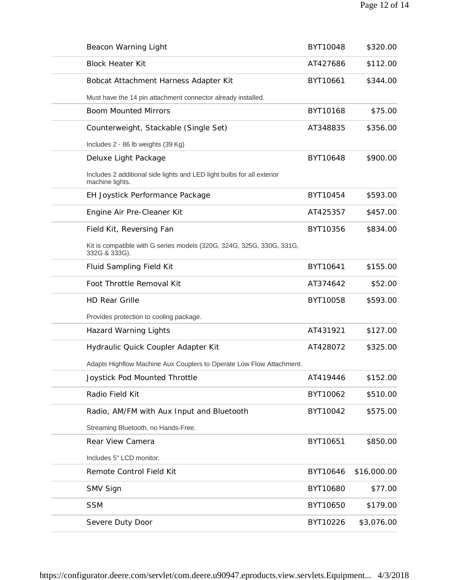| Beacon Warning Light                                                                      | BYT10048 | \$320.00    |
|-------------------------------------------------------------------------------------------|----------|-------------|
| <b>Block Heater Kit</b>                                                                   | AT427686 | \$112.00    |
| Bobcat Attachment Harness Adapter Kit                                                     | BYT10661 | \$344.00    |
| Must have the 14 pin attachment connector already installed.                              |          |             |
| <b>Boom Mounted Mirrors</b>                                                               | BYT10168 | \$75.00     |
| Counterweight, Stackable (Single Set)                                                     | AT348835 | \$356.00    |
| Includes 2 - 86 lb weights (39 Kg)                                                        |          |             |
| Deluxe Light Package                                                                      | BYT10648 | \$900.00    |
| Includes 2 additional side lights and LED light bulbs for all exterior<br>machine lights. |          |             |
| EH Joystick Performance Package                                                           | BYT10454 | \$593.00    |
| Engine Air Pre-Cleaner Kit                                                                | AT425357 | \$457.00    |
| Field Kit, Reversing Fan                                                                  | BYT10356 | \$834.00    |
| Kit is compatible with G series models (320G, 324G, 325G, 330G, 331G,<br>332G & 333G).    |          |             |
| Fluid Sampling Field Kit                                                                  | BYT10641 | \$155.00    |
| Foot Throttle Removal Kit                                                                 | AT374642 | \$52.00     |
| <b>HD Rear Grille</b>                                                                     | BYT10058 | \$593.00    |
| Provides protection to cooling package.                                                   |          |             |
| <b>Hazard Warning Lights</b>                                                              | AT431921 | \$127.00    |
| Hydraulic Quick Coupler Adapter Kit                                                       | AT428072 | \$325.00    |
| Adapts Highflow Machine Aux Couplers to Operate Low Flow Attachment.                      |          |             |
| Joystick Pod Mounted Throttle                                                             | AT419446 | \$152.00    |
| Radio Field Kit                                                                           | BYT10062 | \$510.00    |
| Radio, AM/FM with Aux Input and Bluetooth                                                 | BYT10042 | \$575.00    |
| Streaming Bluetooth, no Hands-Free.                                                       |          |             |
| Rear View Camera                                                                          | BYT10651 | \$850.00    |
| Includes 5" LCD monitor.                                                                  |          |             |
| Remote Control Field Kit                                                                  | BYT10646 | \$16,000.00 |
| SMV Sign                                                                                  | BYT10680 | \$77.00     |
| <b>SSM</b>                                                                                | BYT10650 | \$179.00    |
| Severe Duty Door                                                                          | BYT10226 | \$3,076.00  |
|                                                                                           |          |             |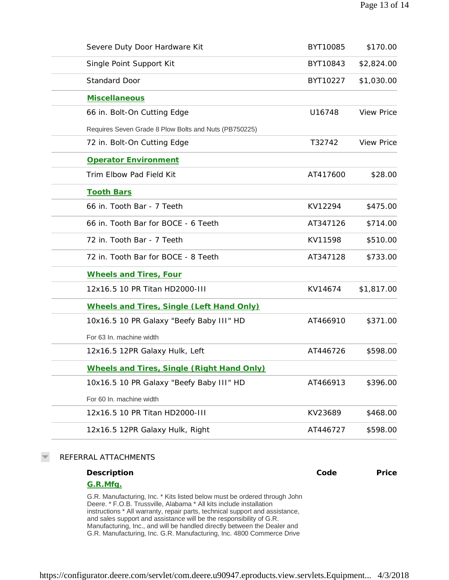| Severe Duty Door Hardware Kit                         | BYT10085 | \$170.00          |
|-------------------------------------------------------|----------|-------------------|
| Single Point Support Kit                              | BYT10843 | \$2,824.00        |
| <b>Standard Door</b>                                  | BYT10227 | \$1,030.00        |
| <b>Miscellaneous</b>                                  |          |                   |
| 66 in. Bolt-On Cutting Edge                           | U16748   | <b>View Price</b> |
| Requires Seven Grade 8 Plow Bolts and Nuts (PB750225) |          |                   |
| 72 in. Bolt-On Cutting Edge                           | T32742   | <b>View Price</b> |
| Operator Environment                                  |          |                   |
| Trim Elbow Pad Field Kit                              | AT417600 | \$28.00           |
| <b>Tooth Bars</b>                                     |          |                   |
| 66 in. Tooth Bar - 7 Teeth                            | KV12294  | \$475.00          |
| 66 in. Tooth Bar for BOCE - 6 Teeth                   | AT347126 | \$714.00          |
| 72 in. Tooth Bar - 7 Teeth                            | KV11598  | \$510.00          |
| 72 in. Tooth Bar for BOCE - 8 Teeth                   | AT347128 | \$733.00          |
| Wheels and Tires, Four                                |          |                   |
| 12x16.5 10 PR Titan HD2000-III                        | KV14674  | \$1,817.00        |
| Wheels and Tires, Single (Left Hand Only)             |          |                   |
| 10x16.5 10 PR Galaxy "Beefy Baby III" HD              | AT466910 | \$371.00          |
| For 63 In. machine width                              |          |                   |
| 12x16.5 12PR Galaxy Hulk, Left                        | AT446726 | \$598.00          |
| Wheels and Tires, Single (Right Hand Only)            |          |                   |
| 10x16.5 10 PR Galaxy "Beefy Baby III" HD              | AT466913 | \$396.00          |
| For 60 In. machine width                              |          |                   |
| 12x16.5 10 PR Titan HD2000-III                        | KV23689  | \$468.00          |
| 12x16.5 12PR Galaxy Hulk, Right                       | AT446727 | \$598.00          |
|                                                       |          |                   |

### $\overline{\phantom{m}}$ REFERRAL ATTACHMENTS

| Description                                                                                                                                                                                                                                                                                                                                                                         | Code | Price |
|-------------------------------------------------------------------------------------------------------------------------------------------------------------------------------------------------------------------------------------------------------------------------------------------------------------------------------------------------------------------------------------|------|-------|
| G.R.Mfg.                                                                                                                                                                                                                                                                                                                                                                            |      |       |
| G.R. Manufacturing, Inc. * Kits listed below must be ordered through John<br>Deere. * F.O.B. Trussville, Alabama * All kits include installation<br>instructions * All warranty, repair parts, technical support and assistance,<br>and sales support and assistance will be the responsibility of G.R.<br>Manufacturing, Inc., and will be handled directly between the Dealer and |      |       |
| G.R. Manufacturing, Inc. G.R. Manufacturing, Inc. 4800 Commerce Drive                                                                                                                                                                                                                                                                                                               |      |       |